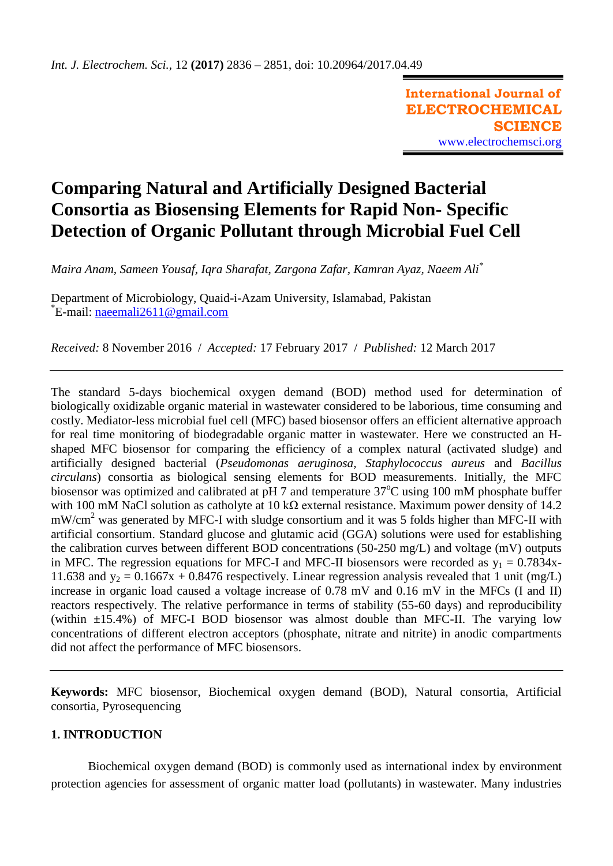# **Comparing Natural and Artificially Designed Bacterial Consortia as Biosensing Elements for Rapid Non- Specific Detection of Organic Pollutant through Microbial Fuel Cell**

*Maira Anam, Sameen Yousaf, Iqra Sharafat, Zargona Zafar, Kamran Ayaz, Naeem Ali\**

Department of Microbiology, Quaid-i-Azam University, Islamabad, Pakistan \* E-mail: [naeemali2611@gmail.com](mailto:naeemali2611@gmail.com)

*Received:* 8 November 2016/ *Accepted:* 17 February 2017 / *Published:* 12 March 2017

The standard 5-days biochemical oxygen demand (BOD) method used for determination of biologically oxidizable organic material in wastewater considered to be laborious, time consuming and costly. Mediator-less microbial fuel cell (MFC) based biosensor offers an efficient alternative approach for real time monitoring of biodegradable organic matter in wastewater. Here we constructed an Hshaped MFC biosensor for comparing the efficiency of a complex natural (activated sludge) and artificially designed bacterial (*Pseudomonas aeruginosa, Staphylococcus aureus* and *Bacillus circulans*) consortia as biological sensing elements for BOD measurements. Initially, the MFC biosensor was optimized and calibrated at pH 7 and temperature  $37^{\circ}$ C using 100 mM phosphate buffer with 100 mM NaCl solution as catholyte at 10 kΩ external resistance. Maximum power density of 14.2 mW/cm<sup>2</sup> was generated by MFC-I with sludge consortium and it was 5 folds higher than MFC-II with artificial consortium. Standard glucose and glutamic acid (GGA) solutions were used for establishing the calibration curves between different BOD concentrations (50-250 mg/L) and voltage (mV) outputs in MFC. The regression equations for MFC-I and MFC-II biosensors were recorded as  $y_1 = 0.7834x$ -11.638 and  $y_2 = 0.1667x + 0.8476$  respectively. Linear regression analysis revealed that 1 unit (mg/L) increase in organic load caused a voltage increase of 0.78 mV and 0.16 mV in the MFCs (I and II) reactors respectively. The relative performance in terms of stability (55-60 days) and reproducibility (within  $\pm 15.4\%$ ) of MFC-I BOD biosensor was almost double than MFC-II. The varying low concentrations of different electron acceptors (phosphate, nitrate and nitrite) in anodic compartments did not affect the performance of MFC biosensors.

**Keywords:** MFC biosensor, Biochemical oxygen demand (BOD), Natural consortia, Artificial consortia, Pyrosequencing

## **1. INTRODUCTION**

Biochemical oxygen demand (BOD) is commonly used as international index by environment protection agencies for assessment of organic matter load (pollutants) in wastewater. Many industries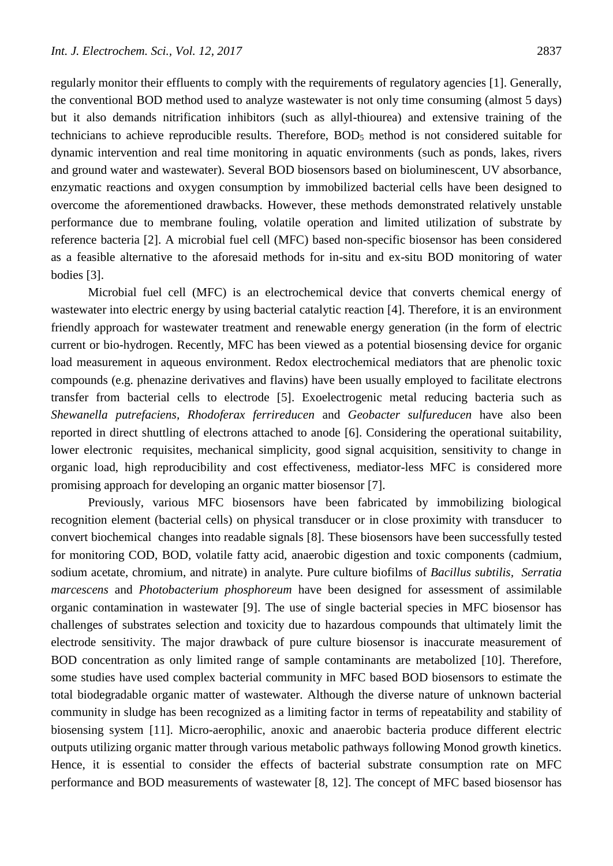regularly monitor their effluents to comply with the requirements of regulatory agencies [\[1\]](#page-14-0). Generally, the conventional BOD method used to analyze wastewater is not only time consuming (almost 5 days) but it also demands nitrification inhibitors (such as allyl-thiourea) and extensive training of the technicians to achieve reproducible results. Therefore,  $BOD<sub>5</sub>$  method is not considered suitable for dynamic intervention and real time monitoring in aquatic environments (such as ponds, lakes, rivers and ground water and wastewater). Several BOD biosensors based on bioluminescent, UV absorbance, enzymatic reactions and oxygen consumption by immobilized bacterial cells have been designed to overcome the aforementioned drawbacks. However, these methods demonstrated relatively unstable performance due to membrane fouling, volatile operation and limited utilization of substrate by reference bacteria [\[2\]](#page-14-1). A microbial fuel cell (MFC) based non-specific biosensor has been considered as a feasible alternative to the aforesaid methods for in-situ and ex-situ BOD monitoring of water bodies [\[3\]](#page-15-0).

Microbial fuel cell (MFC) is an electrochemical device that converts chemical energy of wastewater into electric energy by using bacterial catalytic reaction [\[4\]](#page-15-1). Therefore, it is an environment friendly approach for wastewater treatment and renewable energy generation (in the form of electric current or bio-hydrogen. Recently, MFC has been viewed as a potential biosensing device for organic load measurement in aqueous environment. Redox electrochemical mediators that are phenolic toxic compounds (e.g. phenazine derivatives and flavins) have been usually employed to facilitate electrons transfer from bacterial cells to electrode [\[5\]](#page-15-2). Exoelectrogenic metal reducing bacteria such as *Shewanella putrefaciens, Rhodoferax ferrireducen* and *Geobacter sulfureducen* have also been reported in direct shuttling of electrons attached to anode [\[6\]](#page-15-3). Considering the operational suitability, lower electronic requisites, mechanical simplicity, good signal acquisition, sensitivity to change in organic load, high reproducibility and cost effectiveness, mediator-less MFC is considered more promising approach for developing an organic matter biosensor [\[7\]](#page-15-4).

Previously, various MFC biosensors have been fabricated by immobilizing biological recognition element (bacterial cells) on physical transducer or in close proximity with transducer to convert biochemical changes into readable signals [\[8\]](#page-15-5). These biosensors have been successfully tested for monitoring COD, BOD, volatile fatty acid, anaerobic digestion and toxic components (cadmium, sodium acetate, chromium, and nitrate) in analyte. Pure culture biofilms of *Bacillus subtilis, Serratia marcescens* and *Photobacterium phosphoreum* have been designed for assessment of assimilable organic contamination in wastewater [\[9\]](#page-15-6). The use of single bacterial species in MFC biosensor has challenges of substrates selection and toxicity due to hazardous compounds that ultimately limit the electrode sensitivity. The major drawback of pure culture biosensor is inaccurate measurement of BOD concentration as only limited range of sample contaminants are metabolized [\[10\]](#page-15-7). Therefore, some studies have used complex bacterial community in MFC based BOD biosensors to estimate the total biodegradable organic matter of wastewater. Although the diverse nature of unknown bacterial community in sludge has been recognized as a limiting factor in terms of repeatability and stability of biosensing system [\[11\]](#page-15-8). Micro-aerophilic, anoxic and anaerobic bacteria produce different electric outputs utilizing organic matter through various metabolic pathways following Monod growth kinetics. Hence, it is essential to consider the effects of bacterial substrate consumption rate on MFC performance and BOD measurements of wastewater [\[8,](#page-15-5) [12\]](#page-15-9). The concept of MFC based biosensor has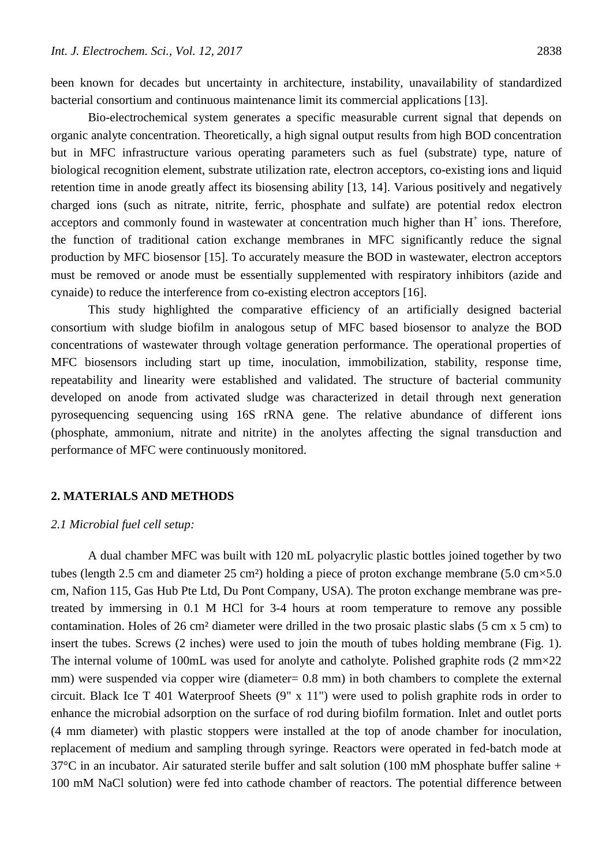been known for decades but uncertainty in architecture, instability, unavailability of standardized bacterial consortium and continuous maintenance limit its commercial applications [\[13\]](#page-15-10).

Bio-electrochemical system generates a specific measurable current signal that depends on organic analyte concentration. Theoretically, a high signal output results from high BOD concentration but in MFC infrastructure various operating parameters such as fuel (substrate) type, nature of biological recognition element, substrate utilization rate, electron acceptors, co-existing ions and liquid retention time in anode greatly affect its biosensing ability [\[13,](#page-15-10) [14\]](#page-15-11). Various positively and negatively charged ions (such as nitrate, nitrite, ferric, phosphate and sulfate) are potential redox electron acceptors and commonly found in wastewater at concentration much higher than  $H^+$  ions. Therefore, the function of traditional cation exchange membranes in MFC significantly reduce the signal production by MFC biosensor [\[15\]](#page-15-12). To accurately measure the BOD in wastewater, electron acceptors must be removed or anode must be essentially supplemented with respiratory inhibitors (azide and cynaide) to reduce the interference from co-existing electron acceptors [16].

This study highlighted the comparative efficiency of an artificially designed bacterial consortium with sludge biofilm in analogous setup of MFC based biosensor to analyze the BOD concentrations of wastewater through voltage generation performance. The operational properties of MFC biosensors including start up time, inoculation, immobilization, stability, response time, repeatability and linearity were established and validated. The structure of bacterial community developed on anode from activated sludge was characterized in detail through next generation pyrosequencing sequencing using 16S rRNA gene. The relative abundance of different ions (phosphate, ammonium, nitrate and nitrite) in the anolytes affecting the signal transduction and performance of MFC were continuously monitored.

#### **2. MATERIALS AND METHODS**

## *2.1 Microbial fuel cell setup:*

A dual chamber MFC was built with 120 mL polyacrylic plastic bottles joined together by two tubes (length 2.5 cm and diameter 25 cm<sup>2</sup>) holding a piece of proton exchange membrane (5.0 cm $\times$ 5.0 cm, Nafion 115, Gas Hub Pte Ltd, Du Pont Company, USA). The proton exchange membrane was pretreated by immersing in 0.1 M HCl for 3-4 hours at room temperature to remove any possible contamination. Holes of 26 cm² diameter were drilled in the two prosaic plastic slabs (5 cm x 5 cm) to insert the tubes. Screws (2 inches) were used to join the mouth of tubes holding membrane (Fig. 1). The internal volume of 100mL was used for anolyte and catholyte. Polished graphite rods (2 mm×22 mm) were suspended via copper wire (diameter=  $0.8$  mm) in both chambers to complete the external circuit. Black Ice T 401 Waterproof Sheets (9" x 11") were used to polish graphite rods in order to enhance the microbial adsorption on the surface of rod during biofilm formation. Inlet and outlet ports (4 mm diameter) with plastic stoppers were installed at the top of anode chamber for inoculation, replacement of medium and sampling through syringe. Reactors were operated in fed-batch mode at  $37^{\circ}$ C in an incubator. Air saturated sterile buffer and salt solution (100 mM phosphate buffer saline + 100 mM NaCl solution) were fed into cathode chamber of reactors. The potential difference between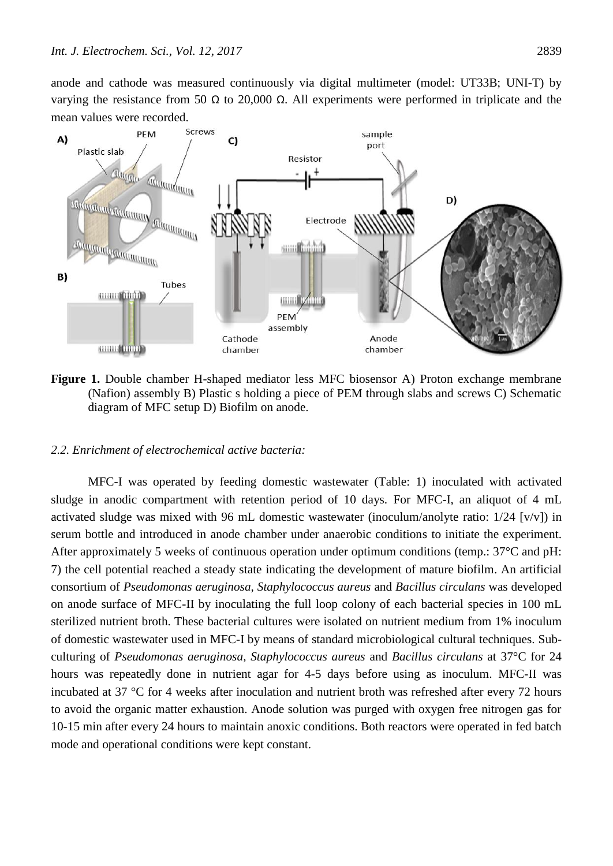anode and cathode was measured continuously via digital multimeter (model: UT33B; UNI-T) by varying the resistance from 50 Ω to 20,000 Ω. All experiments were performed in triplicate and the mean values were recorded.



**Figure 1.** Double chamber H-shaped mediator less MFC biosensor A) Proton exchange membrane (Nafion) assembly B) Plastic s holding a piece of PEM through slabs and screws C) Schematic diagram of MFC setup D) Biofilm on anode.

### *2.2. Enrichment of electrochemical active bacteria:*

MFC-I was operated by feeding domestic wastewater (Table: 1) inoculated with activated sludge in anodic compartment with retention period of 10 days. For MFC-I, an aliquot of 4 mL activated sludge was mixed with 96 mL domestic wastewater (inoculum/anolyte ratio:  $1/24$  [v/v]) in serum bottle and introduced in anode chamber under anaerobic conditions to initiate the experiment. After approximately 5 weeks of continuous operation under optimum conditions (temp.: 37°C and pH: 7) the cell potential reached a steady state indicating the development of mature biofilm. An artificial consortium of *Pseudomonas aeruginosa, Staphylococcus aureus* and *Bacillus circulans* was developed on anode surface of MFC-II by inoculating the full loop colony of each bacterial species in 100 mL sterilized nutrient broth. These bacterial cultures were isolated on nutrient medium from 1% inoculum of domestic wastewater used in MFC-I by means of standard microbiological cultural techniques. Subculturing of *Pseudomonas aeruginosa, Staphylococcus aureus* and *Bacillus circulans* at 37°C for 24 hours was repeatedly done in nutrient agar for 4-5 days before using as inoculum. MFC-II was incubated at 37 °C for 4 weeks after inoculation and nutrient broth was refreshed after every 72 hours to avoid the organic matter exhaustion. Anode solution was purged with oxygen free nitrogen gas for 10-15 min after every 24 hours to maintain anoxic conditions. Both reactors were operated in fed batch mode and operational conditions were kept constant.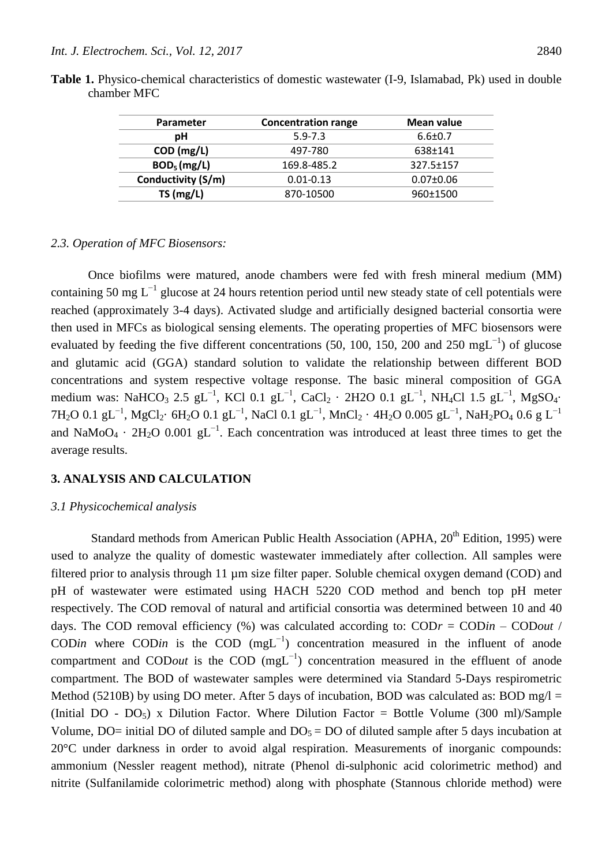| <b>Parameter</b>   | <b>Concentration range</b> | Mean value      |
|--------------------|----------------------------|-----------------|
| рH                 | $5.9 - 7.3$                | $6.6 \pm 0.7$   |
| COD (mg/L)         | 497-780                    | 638±141         |
| $BOD5$ (mg/L)      | 169.8-485.2                | 327.5±157       |
| Conductivity (S/m) | $0.01 - 0.13$              | $0.07 \pm 0.06$ |
| TS(mg/L)           | 870-10500                  | 960±1500        |

**Table 1.** Physico-chemical characteristics of domestic wastewater (I-9, Islamabad, Pk) used in double chamber MFC

#### *2.3. Operation of MFC Biosensors:*

Once biofilms were matured, anode chambers were fed with fresh mineral medium (MM) containing 50 mg L<sup>-1</sup> glucose at 24 hours retention period until new steady state of cell potentials were reached (approximately 3-4 days). Activated sludge and artificially designed bacterial consortia were then used in MFCs as biological sensing elements. The operating properties of MFC biosensors were evaluated by feeding the five different concentrations (50, 100, 150, 200 and 250 mgL<sup>-1</sup>) of glucose and glutamic acid (GGA) standard solution to validate the relationship between different BOD concentrations and system respective voltage response. The basic mineral composition of GGA medium was: NaHCO<sub>3</sub> 2.5 gL<sup>-1</sup>, KCl 0.1 gL<sup>-1</sup>, CaCl<sub>2</sub> · 2H2O 0.1 gL<sup>-1</sup>, NH<sub>4</sub>Cl 1.5 gL<sup>-1</sup>, MgSO<sub>4</sub>· 7H2O 0.1 gL $^{-1}$ , MgCl2· 6H2O 0.1 gL $^{-1}$ , NaCl 0.1 gL $^{-1}$ , MnCl2 · 4H2O 0.005 gL $^{-1}$ , NaH2PO4 0.6 g L $^{-1}$ and NaMoO<sub>4</sub> · 2H<sub>2</sub>O 0.001 gL<sup>-1</sup>. Each concentration was introduced at least three times to get the average results.

# **3. ANALYSIS AND CALCULATION**

#### *3.1 Physicochemical analysis*

Standard methods from American Public Health Association (APHA,  $20^{th}$  Edition, 1995) were used to analyze the quality of domestic wastewater immediately after collection. All samples were filtered prior to analysis through 11 µm size filter paper. Soluble chemical oxygen demand (COD) and pH of wastewater were estimated using HACH 5220 COD method and bench top pH meter respectively. The COD removal of natural and artificial consortia was determined between 10 and 40 days. The COD removal efficiency (%) was calculated according to: COD*r* = COD*in* – COD*out* / COD*in* where COD*in* is the COD (mgL<sup>-1</sup>) concentration measured in the influent of anode compartment and COD*out* is the COD (mgL−1) concentration measured in the effluent of anode compartment. The BOD of wastewater samples were determined via Standard 5-Days respirometric Method (5210B) by using DO meter. After 5 days of incubation, BOD was calculated as: BOD mg/l = (Initial DO -  $DO_5$ ) x Dilution Factor. Where Dilution Factor = Bottle Volume (300 ml)/Sample Volume, DO= initial DO of diluted sample and  $DO<sub>5</sub> = DO$  of diluted sample after 5 days incubation at 20°C under darkness in order to avoid algal respiration. Measurements of inorganic compounds: ammonium (Nessler reagent method), nitrate (Phenol di-sulphonic acid colorimetric method) and nitrite (Sulfanilamide colorimetric method) along with phosphate (Stannous chloride method) were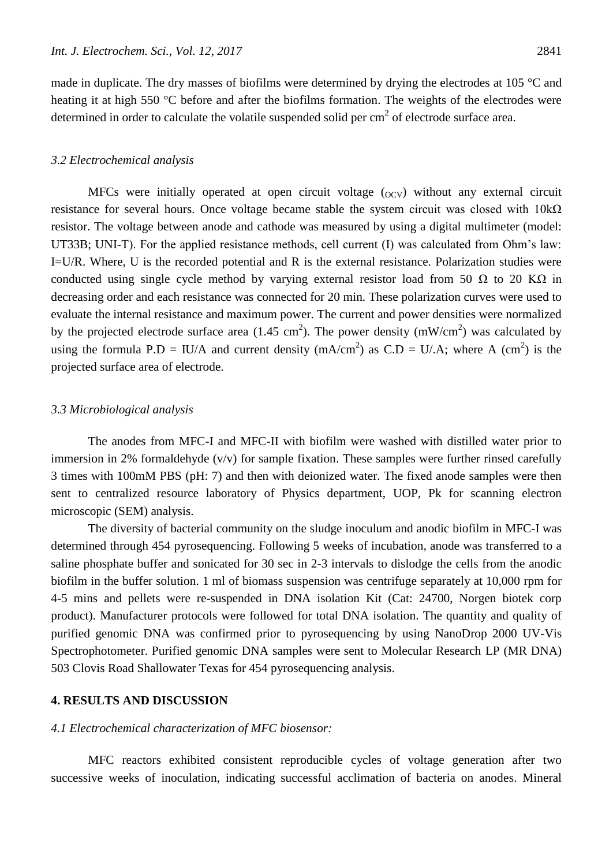made in duplicate. The dry masses of biofilms were determined by drying the electrodes at 105 °C and heating it at high 550 °C before and after the biofilms formation. The weights of the electrodes were determined in order to calculate the volatile suspended solid per  $cm<sup>2</sup>$  of electrode surface area.

#### *3.2 Electrochemical analysis*

MFCs were initially operated at open circuit voltage  $(0<sub>CV</sub>)$  without any external circuit resistance for several hours. Once voltage became stable the system circuit was closed with  $10k\Omega$ resistor. The voltage between anode and cathode was measured by using a digital multimeter (model: UT33B; UNI-T). For the applied resistance methods, cell current (I) was calculated from Ohm's law: I=U/R. Where, U is the recorded potential and R is the external resistance. Polarization studies were conducted using single cycle method by varying external resistor load from 50  $\Omega$  to 20 K $\Omega$  in decreasing order and each resistance was connected for 20 min. These polarization curves were used to evaluate the internal resistance and maximum power. The current and power densities were normalized by the projected electrode surface area (1.45 cm<sup>2</sup>). The power density (mW/cm<sup>2</sup>) was calculated by using the formula P.D = IU/A and current density (mA/cm<sup>2</sup>) as C.D = U/.A; where A (cm<sup>2</sup>) is the projected surface area of electrode.

#### *3.3 Microbiological analysis*

The anodes from MFC-I and MFC-II with biofilm were washed with distilled water prior to immersion in 2% formaldehyde  $(v/v)$  for sample fixation. These samples were further rinsed carefully 3 times with 100mM PBS (pH: 7) and then with deionized water. The fixed anode samples were then sent to centralized resource laboratory of Physics department, UOP, Pk for scanning electron microscopic (SEM) analysis.

The diversity of bacterial community on the sludge inoculum and anodic biofilm in MFC-I was determined through 454 pyrosequencing. Following 5 weeks of incubation, anode was transferred to a saline phosphate buffer and sonicated for 30 sec in 2-3 intervals to dislodge the cells from the anodic biofilm in the buffer solution. 1 ml of biomass suspension was centrifuge separately at 10,000 rpm for 4-5 mins and pellets were re-suspended in DNA isolation Kit (Cat: 24700, Norgen biotek corp product). Manufacturer protocols were followed for total DNA isolation. The quantity and quality of purified genomic DNA was confirmed prior to pyrosequencing by using NanoDrop 2000 UV-Vis Spectrophotometer. Purified genomic DNA samples were sent to Molecular Research LP (MR DNA) 503 Clovis Road Shallowater Texas for 454 pyrosequencing analysis.

#### **4. RESULTS AND DISCUSSION**

## *4.1 Electrochemical characterization of MFC biosensor:*

MFC reactors exhibited consistent reproducible cycles of voltage generation after two successive weeks of inoculation, indicating successful acclimation of bacteria on anodes. Mineral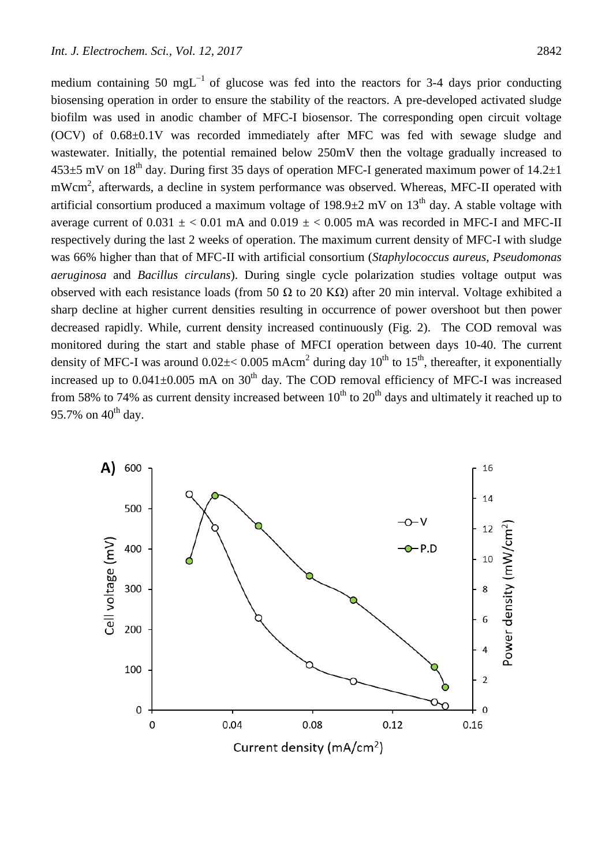medium containing 50 mgL<sup>-1</sup> of glucose was fed into the reactors for 3-4 days prior conducting biosensing operation in order to ensure the stability of the reactors. A pre-developed activated sludge biofilm was used in anodic chamber of MFC-I biosensor. The corresponding open circuit voltage (OCV) of 0.68±0.1V was recorded immediately after MFC was fed with sewage sludge and wastewater. Initially, the potential remained below 250mV then the voltage gradually increased to  $453\pm5$  mV on 18<sup>th</sup> day. During first 35 days of operation MFC-I generated maximum power of 14.2 $\pm$ 1 mWcm<sup>2</sup>, afterwards, a decline in system performance was observed. Whereas, MFC-II operated with artificial consortium produced a maximum voltage of 198.9 $\pm$ 2 mV on 13<sup>th</sup> day. A stable voltage with average current of  $0.031 \pm 0.01$  mA and  $0.019 \pm 0.005$  mA was recorded in MFC-I and MFC-II respectively during the last 2 weeks of operation. The maximum current density of MFC-I with sludge was 66% higher than that of MFC-II with artificial consortium (*Staphylococcus aureus, Pseudomonas aeruginosa* and *Bacillus circulans*). During single cycle polarization studies voltage output was observed with each resistance loads (from 50  $\Omega$  to 20 K $\Omega$ ) after 20 min interval. Voltage exhibited a sharp decline at higher current densities resulting in occurrence of power overshoot but then power decreased rapidly. While, current density increased continuously (Fig. 2). The COD removal was monitored during the start and stable phase of MFCI operation between days 10-40. The current density of MFC-I was around  $0.02 \pm < 0.005$  mAcm<sup>2</sup> during day  $10^{th}$  to  $15^{th}$ , thereafter, it exponentially increased up to  $0.041\pm0.005$  mA on  $30<sup>th</sup>$  day. The COD removal efficiency of MFC-I was increased from 58% to 74% as current density increased between  $10^{th}$  to  $20^{th}$  days and ultimately it reached up to 95.7% on  $40^{th}$  day.

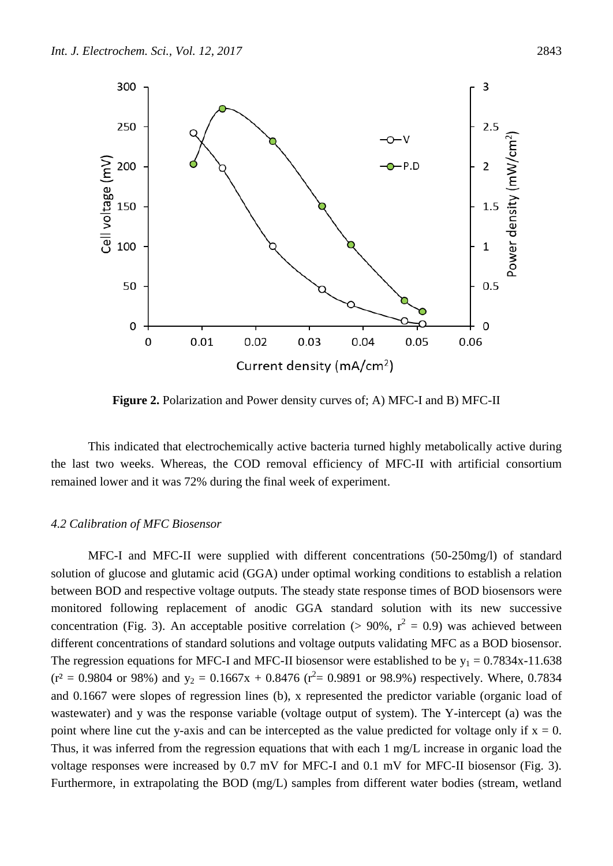

**Figure 2.** Polarization and Power density curves of; A) MFC-I and B) MFC-II

This indicated that electrochemically active bacteria turned highly metabolically active during the last two weeks. Whereas, the COD removal efficiency of MFC-II with artificial consortium remained lower and it was 72% during the final week of experiment.

## *4.2 Calibration of MFC Biosensor*

MFC-I and MFC-II were supplied with different concentrations (50-250mg/l) of standard solution of glucose and glutamic acid (GGA) under optimal working conditions to establish a relation between BOD and respective voltage outputs. The steady state response times of BOD biosensors were monitored following replacement of anodic GGA standard solution with its new successive concentration (Fig. 3). An acceptable positive correlation ( $> 90\%$ ,  $r^2 = 0.9$ ) was achieved between different concentrations of standard solutions and voltage outputs validating MFC as a BOD biosensor. The regression equations for MFC-I and MFC-II biosensor were established to be  $y_1 = 0.7834x-11.638$  $(r^2 = 0.9804$  or 98%) and  $y_2 = 0.1667x + 0.8476$   $(r^2 = 0.9891$  or 98.9%) respectively. Where, 0.7834 and 0.1667 were slopes of regression lines (b), x represented the predictor variable (organic load of wastewater) and y was the response variable (voltage output of system). The Y-intercept (a) was the point where line cut the y-axis and can be intercepted as the value predicted for voltage only if  $x = 0$ . Thus, it was inferred from the regression equations that with each 1 mg/L increase in organic load the voltage responses were increased by 0.7 mV for MFC-I and 0.1 mV for MFC-II biosensor (Fig. 3). Furthermore, in extrapolating the BOD (mg/L) samples from different water bodies (stream, wetland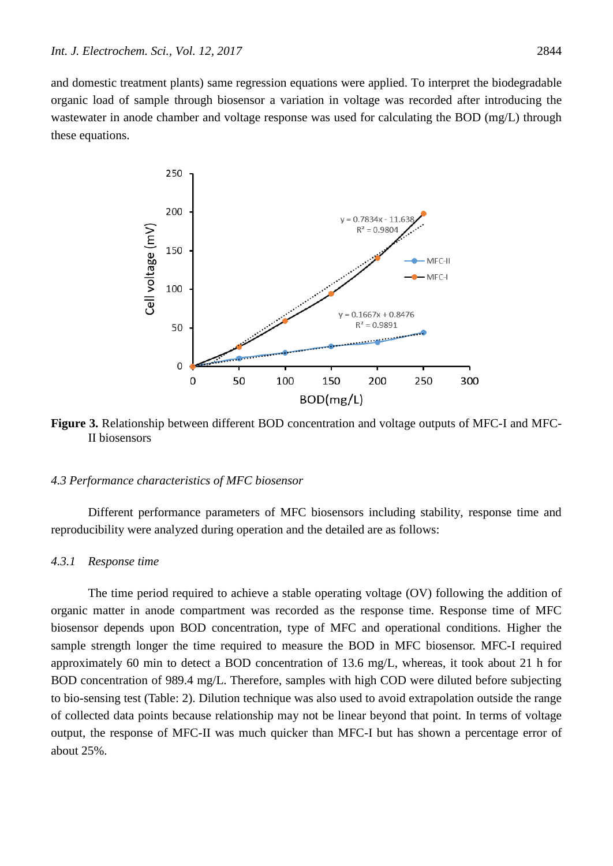and domestic treatment plants) same regression equations were applied. To interpret the biodegradable organic load of sample through biosensor a variation in voltage was recorded after introducing the wastewater in anode chamber and voltage response was used for calculating the BOD (mg/L) through these equations.



**Figure 3.** Relationship between different BOD concentration and voltage outputs of MFC-I and MFC-II biosensors

## *4.3 Performance characteristics of MFC biosensor*

Different performance parameters of MFC biosensors including stability, response time and reproducibility were analyzed during operation and the detailed are as follows:

### *4.3.1 Response time*

The time period required to achieve a stable operating voltage (OV) following the addition of organic matter in anode compartment was recorded as the response time. Response time of MFC biosensor depends upon BOD concentration, type of MFC and operational conditions. Higher the sample strength longer the time required to measure the BOD in MFC biosensor. MFC-I required approximately 60 min to detect a BOD concentration of 13.6 mg/L, whereas, it took about 21 h for BOD concentration of 989.4 mg/L. Therefore, samples with high COD were diluted before subjecting to bio-sensing test (Table: 2). Dilution technique was also used to avoid extrapolation outside the range of collected data points because relationship may not be linear beyond that point. In terms of voltage output, the response of MFC-II was much quicker than MFC-I but has shown a percentage error of about 25%.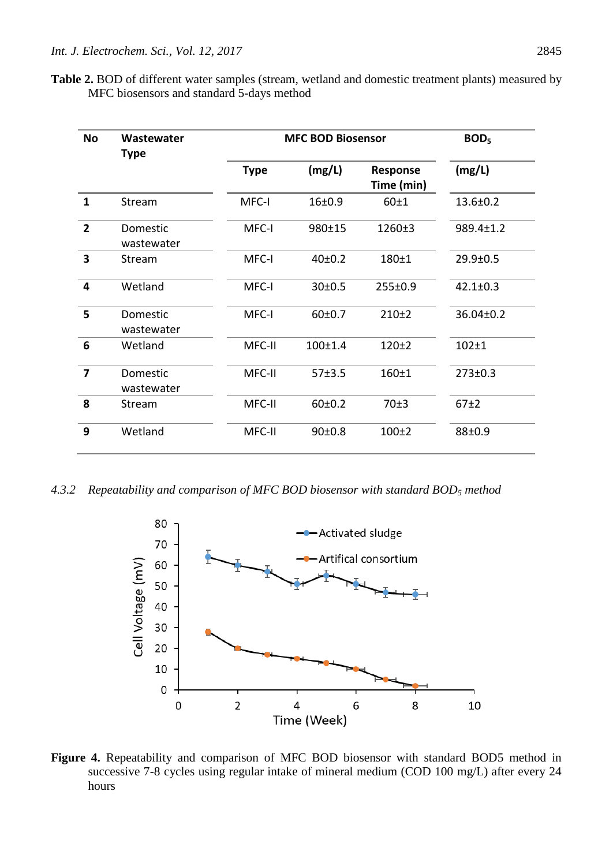**Table 2.** BOD of different water samples (stream, wetland and domestic treatment plants) measured by MFC biosensors and standard 5-days method

| <b>No</b>               | Wastewater<br><b>Type</b> | <b>MFC BOD Biosensor</b> |                     |                        | BOD <sub>5</sub> |
|-------------------------|---------------------------|--------------------------|---------------------|------------------------|------------------|
|                         |                           | <b>Type</b>              | (mg/L)              | Response<br>Time (min) | (mg/L)           |
| $\mathbf{1}$            | Stream                    | MFC-I                    | 16±0.9              | 60±1                   | $13.6 \pm 0.2$   |
| $\overline{2}$          | Domestic<br>wastewater    | MFC-I                    | 980±15              | 1260±3                 | 989.4±1.2        |
| $\overline{\mathbf{3}}$ | Stream                    | MFC-I                    | 40 <sub>±</sub> 0.2 | 180±1                  | $29.9 \pm 0.5$   |
| 4                       | Wetland                   | MFC-I                    | 30 <sub>±</sub> 0.5 | 255±0.9                | $42.1 \pm 0.3$   |
| 5                       | Domestic<br>wastewater    | MFC-I                    | 60±0.7              | $210+2$                | 36.04±0.2        |
| 6                       | Wetland                   | MFC-II                   | $100+1.4$           | $120+2$                | $102 + 1$        |
| $\overline{7}$          | Domestic<br>wastewater    | MFC-II                   | 57±3.5              | $160 + 1$              | 273±0.3          |
| 8                       | Stream                    | MFC-II                   | 60±0.2              | 70±3                   | 67±2             |
| 9                       | Wetland                   | MFC-II                   | 90±0.8              | $100+2$                | 88±0.9           |

*4.3.2 Repeatability and comparison of MFC BOD biosensor with standard BOD<sup>5</sup> method*



**Figure 4.** Repeatability and comparison of MFC BOD biosensor with standard BOD5 method in successive 7-8 cycles using regular intake of mineral medium (COD 100 mg/L) after every 24 hours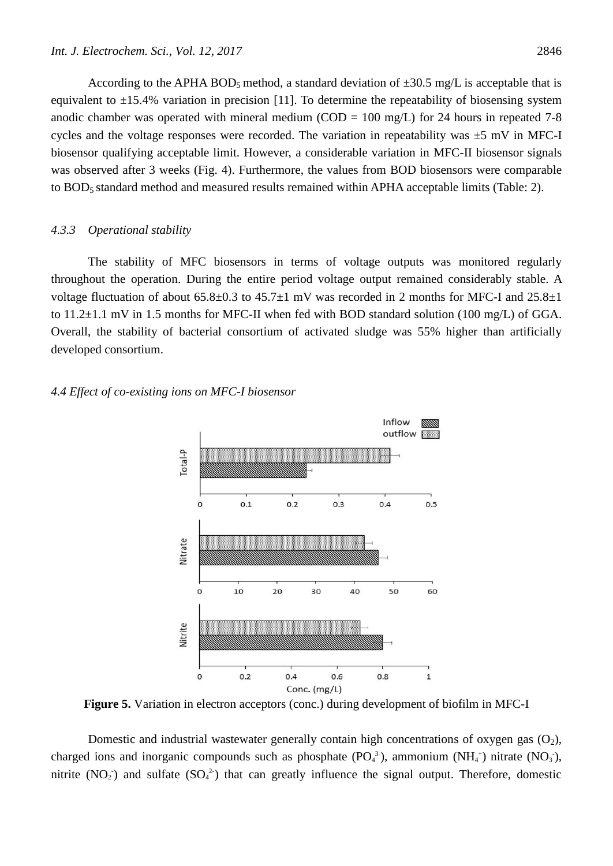According to the APHA BOD<sub>5</sub> method, a standard deviation of  $\pm 30.5$  mg/L is acceptable that is equivalent to  $\pm 15.4\%$  variation in precision [\[11\]](#page-15-8). To determine the repeatability of biosensing system anodic chamber was operated with mineral medium (COD =  $100 \text{ mg/L}$ ) for 24 hours in repeated 7-8 cycles and the voltage responses were recorded. The variation in repeatability was  $\pm$ 5 mV in MFC-I biosensor qualifying acceptable limit. However, a considerable variation in MFC-II biosensor signals was observed after 3 weeks (Fig. 4). Furthermore, the values from BOD biosensors were comparable to BOD5 standard method and measured results remained within APHA acceptable limits (Table: 2).

#### *4.3.3 Operational stability*

The stability of MFC biosensors in terms of voltage outputs was monitored regularly throughout the operation. During the entire period voltage output remained considerably stable. A voltage fluctuation of about  $65.8 \pm 0.3$  to  $45.7 \pm 1$  mV was recorded in 2 months for MFC-I and  $25.8 \pm 1$ to  $11.2\pm1.1$  mV in 1.5 months for MFC-II when fed with BOD standard solution (100 mg/L) of GGA. Overall, the stability of bacterial consortium of activated sludge was 55% higher than artificially developed consortium.

#### *4.4 Effect of co-existing ions on MFC-I biosensor*



**Figure 5.** Variation in electron acceptors (conc.) during development of biofilm in MFC-I

Domestic and industrial wastewater generally contain high concentrations of oxygen gas  $(O_2)$ , charged ions and inorganic compounds such as phosphate  $(PO_4^3)$ , ammonium  $(NH_4^+)$  nitrate  $(NO_3)$ , nitrite  $(NO_2)$  and sulfate  $(SO_4^2)$  that can greatly influence the signal output. Therefore, domestic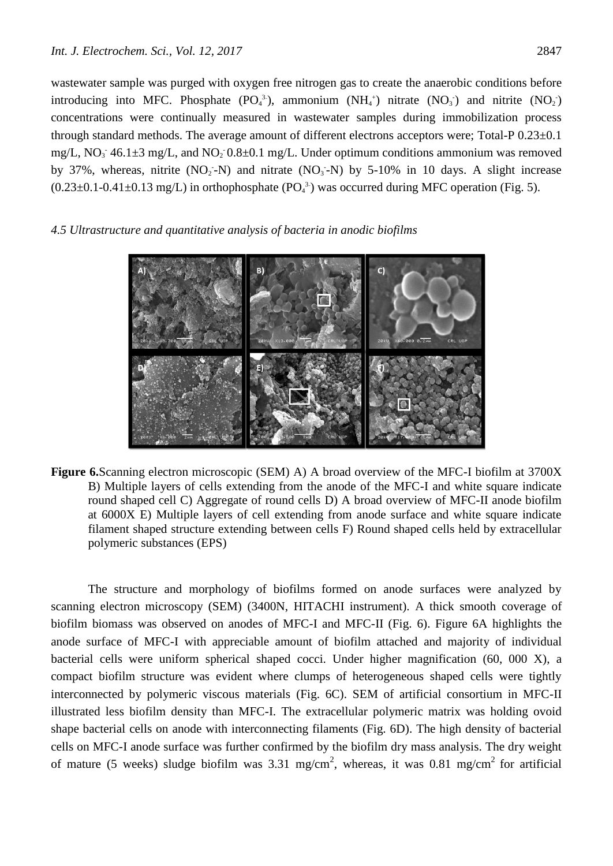wastewater sample was purged with oxygen free nitrogen gas to create the anaerobic conditions before introducing into MFC. Phosphate  $(PO_4^3)$ , ammonium  $(NH_4^+)$  nitrate  $(NO_3^+)$  and nitrite  $(NO_2^+)$ concentrations were continually measured in wastewater samples during immobilization process through standard methods. The average amount of different electrons acceptors were; Total-P 0.23±0.1 mg/L,  $NO_3$ : 46.1 $\pm$ 3 mg/L, and  $NO_2$ : 0.8 $\pm$ 0.1 mg/L. Under optimum conditions ammonium was removed by 37%, whereas, nitrite  $(NO_2 - N)$  and nitrate  $(NO_3 - N)$  by 5-10% in 10 days. A slight increase  $(0.23 \pm 0.1 - 0.41 \pm 0.13 \text{ mg/L})$  in orthophosphate  $(PO_4^3)$  was occurred during MFC operation (Fig. 5).

## *4.5 Ultrastructure and quantitative analysis of bacteria in anodic biofilms*



**Figure 6.**Scanning electron microscopic (SEM) A) A broad overview of the MFC-I biofilm at 3700X B) Multiple layers of cells extending from the anode of the MFC-I and white square indicate round shaped cell C) Aggregate of round cells D) A broad overview of MFC-II anode biofilm at 6000X E) Multiple layers of cell extending from anode surface and white square indicate filament shaped structure extending between cells F) Round shaped cells held by extracellular polymeric substances (EPS)

The structure and morphology of biofilms formed on anode surfaces were analyzed by scanning electron microscopy (SEM) (3400N, HITACHI instrument). A thick smooth coverage of biofilm biomass was observed on anodes of MFC-I and MFC-II (Fig. 6). Figure 6A highlights the anode surface of MFC-I with appreciable amount of biofilm attached and majority of individual bacterial cells were uniform spherical shaped cocci. Under higher magnification (60, 000 X), a compact biofilm structure was evident where clumps of heterogeneous shaped cells were tightly interconnected by polymeric viscous materials (Fig. 6C). SEM of artificial consortium in MFC-II illustrated less biofilm density than MFC-I. The extracellular polymeric matrix was holding ovoid shape bacterial cells on anode with interconnecting filaments (Fig. 6D). The high density of bacterial cells on MFC-I anode surface was further confirmed by the biofilm dry mass analysis. The dry weight of mature (5 weeks) sludge biofilm was 3.31 mg/cm<sup>2</sup>, whereas, it was 0.81 mg/cm<sup>2</sup> for artificial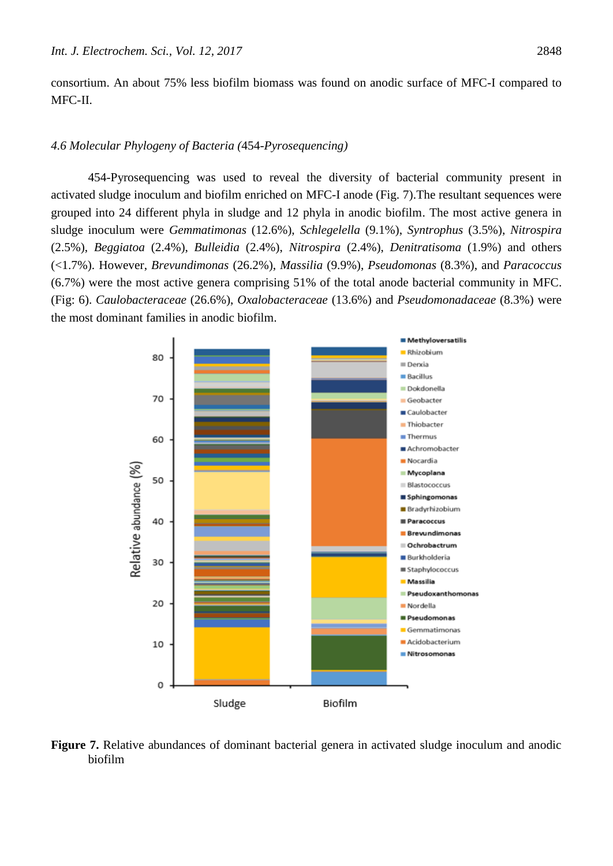consortium. An about 75% less biofilm biomass was found on anodic surface of MFC-I compared to MFC-II.

## *4.6 Molecular Phylogeny of Bacteria (*454-*Pyrosequencing)*

454-Pyrosequencing was used to reveal the diversity of bacterial community present in activated sludge inoculum and biofilm enriched on MFC-I anode (Fig. 7).The resultant sequences were grouped into 24 different phyla in sludge and 12 phyla in anodic biofilm. The most active genera in sludge inoculum were *Gemmatimonas* (12.6%), *Schlegelella* (9.1%), *Syntrophus* (3.5%), *Nitrospira* (2.5%), *Beggiatoa* (2.4%), *Bulleidia* (2.4%), *Nitrospira* (2.4%), *Denitratisoma* (1.9%) and others (<1.7%). However, *Brevundimonas* (26.2%), *Massilia* (9.9%), *Pseudomonas* (8.3%), and *Paracoccus* (6.7%) were the most active genera comprising 51% of the total anode bacterial community in MFC. (Fig: 6). *Caulobacteraceae* (26.6%), *Oxalobacteraceae* (13.6%) and *Pseudomonadaceae* (8.3%) were the most dominant families in anodic biofilm.



**Figure 7.** Relative abundances of dominant bacterial genera in activated sludge inoculum and anodic biofilm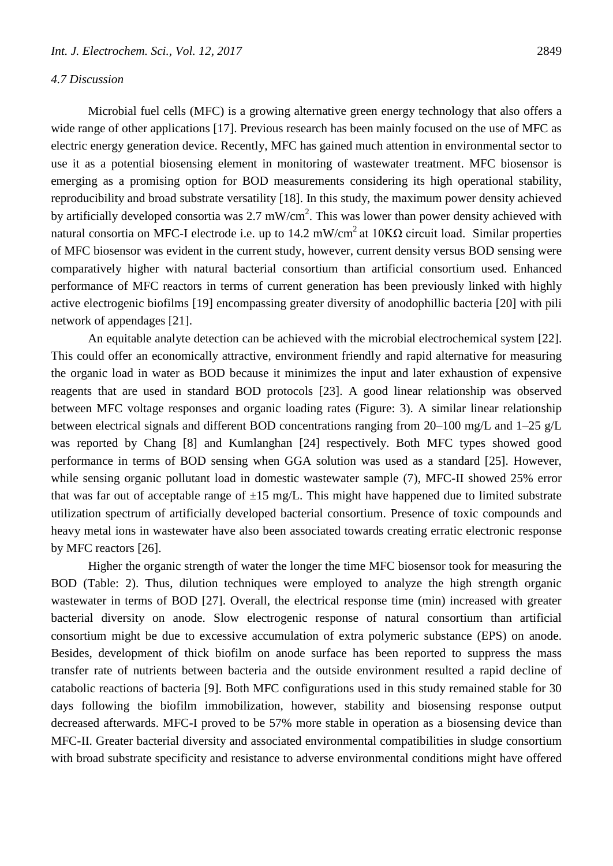#### *4.7 Discussion*

Microbial fuel cells (MFC) is a growing alternative green energy technology that also offers a wide range of other applications [\[17\]](#page-15-13). Previous research has been mainly focused on the use of MFC as electric energy generation device. Recently, MFC has gained much attention in environmental sector to use it as a potential biosensing element in monitoring of wastewater treatment. MFC biosensor is emerging as a promising option for BOD measurements considering its high operational stability, reproducibility and broad substrate versatility [18]. In this study, the maximum power density achieved by artificially developed consortia was 2.7 mW/cm<sup>2</sup>. This was lower than power density achieved with natural consortia on MFC-I electrode i.e. up to 14.2 mW/cm<sup>2</sup> at 10KΩ circuit load. Similar properties of MFC biosensor was evident in the current study, however, current density versus BOD sensing were comparatively higher with natural bacterial consortium than artificial consortium used. Enhanced performance of MFC reactors in terms of current generation has been previously linked with highly active electrogenic biofilms [\[19\]](#page-15-14) encompassing greater diversity of anodophillic bacteria [\[20\]](#page-15-15) with pili network of appendages [\[21\]](#page-15-16).

An equitable analyte detection can be achieved with the microbial electrochemical system [\[22\]](#page-15-17). This could offer an economically attractive, environment friendly and rapid alternative for measuring the organic load in water as BOD because it minimizes the input and later exhaustion of expensive reagents that are used in standard BOD protocols [\[23\]](#page-15-18). A good linear relationship was observed between MFC voltage responses and organic loading rates (Figure: 3). A similar linear relationship between electrical signals and different BOD concentrations ranging from 20–100 mg/L and 1–25 g/L was reported by Chang [\[8\]](#page-15-5) and Kumlanghan [\[24\]](#page-15-19) respectively. Both MFC types showed good performance in terms of BOD sensing when GGA solution was used as a standard [\[25\]](#page-15-20). However, while sensing organic pollutant load in domestic wastewater sample (7), MFC-II showed 25% error that was far out of acceptable range of  $\pm 15$  mg/L. This might have happened due to limited substrate utilization spectrum of artificially developed bacterial consortium. Presence of toxic compounds and heavy metal ions in wastewater have also been associated towards creating erratic electronic response by MFC reactors [\[26\]](#page-15-21).

Higher the organic strength of water the longer the time MFC biosensor took for measuring the BOD (Table: 2). Thus, dilution techniques were employed to analyze the high strength organic wastewater in terms of BOD [\[27\]](#page-15-22). Overall, the electrical response time (min) increased with greater bacterial diversity on anode. Slow electrogenic response of natural consortium than artificial consortium might be due to excessive accumulation of extra polymeric substance (EPS) on anode. Besides, development of thick biofilm on anode surface has been reported to suppress the mass transfer rate of nutrients between bacteria and the outside environment resulted a rapid decline of catabolic reactions of bacteria [\[9\]](#page-15-6). Both MFC configurations used in this study remained stable for 30 days following the biofilm immobilization, however, stability and biosensing response output decreased afterwards. MFC-I proved to be 57% more stable in operation as a biosensing device than MFC-II. Greater bacterial diversity and associated environmental compatibilities in sludge consortium with broad substrate specificity and resistance to adverse environmental conditions might have offered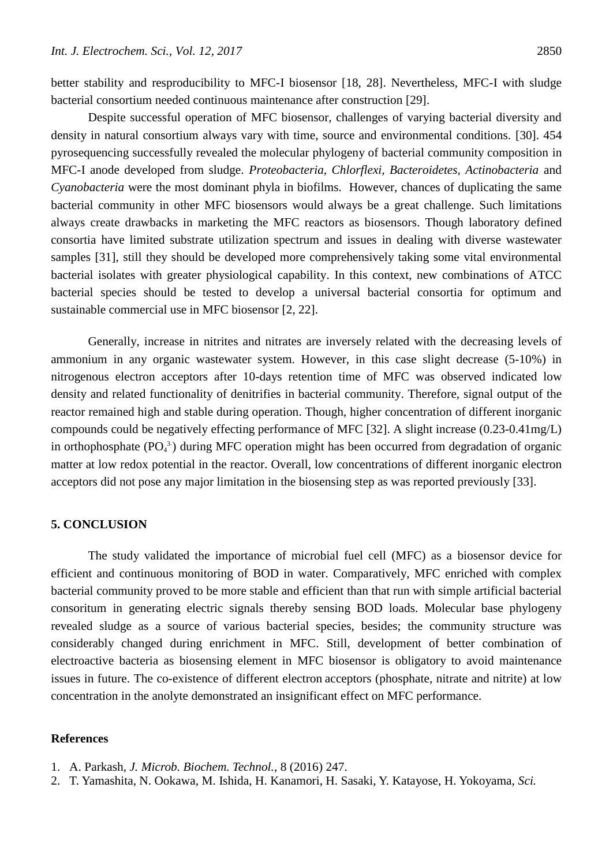better stability and resproducibility to MFC-I biosensor [18, [28\]](#page-15-23). Nevertheless, MFC-I with sludge bacterial consortium needed continuous maintenance after construction [\[29\]](#page-15-24).

Despite successful operation of MFC biosensor, challenges of varying bacterial diversity and density in natural consortium always vary with time, source and environmental conditions. [\[30\]](#page-15-25). 454 pyrosequencing successfully revealed the molecular phylogeny of bacterial community composition in MFC-I anode developed from sludge. *Proteobacteria, Chlorflexi, Bacteroidetes, Actinobacteria* and *Cyanobacteria* were the most dominant phyla in biofilms. However, chances of duplicating the same bacterial community in other MFC biosensors would always be a great challenge. Such limitations always create drawbacks in marketing the MFC reactors as biosensors. Though laboratory defined consortia have limited substrate utilization spectrum and issues in dealing with diverse wastewater samples [\[31\]](#page-15-26), still they should be developed more comprehensively taking some vital environmental bacterial isolates with greater physiological capability. In this context, new combinations of ATCC bacterial species should be tested to develop a universal bacterial consortia for optimum and sustainable commercial use in MFC biosensor [\[2,](#page-14-1) [22\]](#page-15-17).

Generally, increase in nitrites and nitrates are inversely related with the decreasing levels of ammonium in any organic wastewater system. However, in this case slight decrease (5-10%) in nitrogenous electron acceptors after 10-days retention time of MFC was observed indicated low density and related functionality of denitrifies in bacterial community. Therefore, signal output of the reactor remained high and stable during operation. Though, higher concentration of different inorganic compounds could be negatively effecting performance of MFC [\[32\]](#page-15-27). A slight increase (0.23-0.41mg/L) in orthophosphate  $(PO<sub>4</sub><sup>3</sup>)$  during MFC operation might has been occurred from degradation of organic matter at low redox potential in the reactor. Overall, low concentrations of different inorganic electron acceptors did not pose any major limitation in the biosensing step as was reported previously [\[33\]](#page-15-28).

# **5. CONCLUSION**

The study validated the importance of microbial fuel cell (MFC) as a biosensor device for efficient and continuous monitoring of BOD in water. Comparatively, MFC enriched with complex bacterial community proved to be more stable and efficient than that run with simple artificial bacterial consoritum in generating electric signals thereby sensing BOD loads. Molecular base phylogeny revealed sludge as a source of various bacterial species, besides; the community structure was considerably changed during enrichment in MFC. Still, development of better combination of electroactive bacteria as biosensing element in MFC biosensor is obligatory to avoid maintenance issues in future. The co-existence of different electron acceptors (phosphate, nitrate and nitrite) at low concentration in the anolyte demonstrated an insignificant effect on MFC performance.

## **References**

- <span id="page-14-0"></span>1. A. Parkash, *J. Microb. Biochem. Technol.,* 8 (2016) 247.
- <span id="page-14-1"></span>2. T. Yamashita, N. Ookawa, M. Ishida, H. Kanamori, H. Sasaki, Y. Katayose, H. Yokoyama, *Sci.*